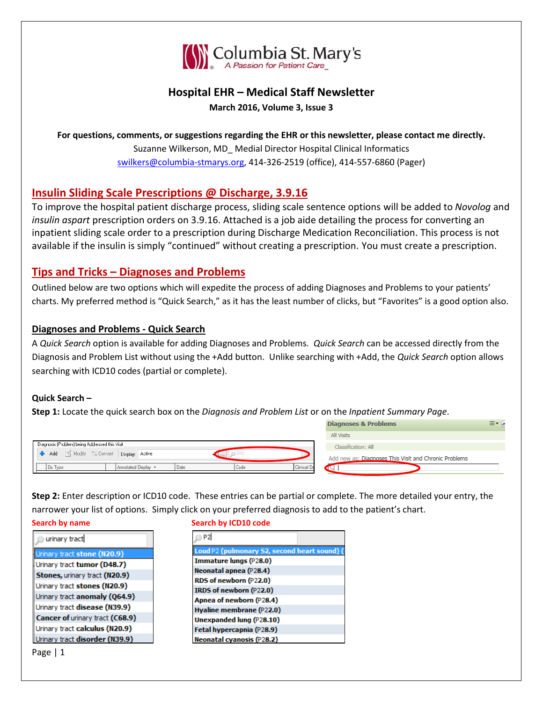

# **Hospital EHR – Medical Staff Newsletter March 2016, Volume 3, Issue 3**

**For questions, comments, or suggestions regarding the EHR or this newsletter, please contact me directly.** Suzanne Wilkerson, MD\_ Medial Director Hospital Clinical Informatics [swilkers@columbia-stmarys.org,](mailto:swilkers@columbia-stmarys.org) 414-326-2519 (office), 414-557-6860 (Pager)

# **Insulin Sliding Scale Prescriptions @ Discharge, 3.9.16**

To improve the hospital patient discharge process, sliding scale sentence options will be added to *Novolog* and *insulin aspart* prescription orders on 3.9.16. Attached is a job aide detailing the process for converting an inpatient sliding scale order to a prescription during Discharge Medication Reconciliation. This process is not available if the insulin is simply "continued" without creating a prescription. You must create a prescription.

# **Tips and Tricks – Diagnoses and Problems**

Outlined below are two options which will expedite the process of adding Diagnoses and Problems to your patients' charts. My preferred method is "Quick Search," as it has the least number of clicks, but "Favorites" is a good option also.

## **Diagnoses and Problems - Quick Search**

A *Quick Search* option is available for adding Diagnoses and Problems. *Quick Search* can be accessed directly from the Diagnosis and Problem List without using the +Add button. Unlike searching with +Add, the *Quick Search* option allows searching with ICD10 codes (partial or complete).

## **Quick Search –**

**Step 1:** Locate the quick search box on the *Diagnosis and Problem List* or on the *Inpatient Summary Page*.

|                                                                      | <b>DIGUITUSCS &amp; FIUDICIIIS</b>                    |
|----------------------------------------------------------------------|-------------------------------------------------------|
|                                                                      | All Visits                                            |
| - Diagnosis (Problem) being Addressed this Visit-                    | Classification: All                                   |
| Add Modify SConvert Display: Active                                  | Add new as: Diagnoses This Visit and Chronic Problems |
| <b>Clinical Dx</b><br>Annotated Display ▲<br>Code<br>Dx Type<br>Date |                                                       |

Disapeces & Drehlems

 $= \alpha$ 

**Step 2:** Enter description or ICD10 code. These entries can be partial or complete. The more detailed your entry, the narrower your list of options. Simply click on your preferred diagnosis to add to the patient's chart.

**Search by name Search by ICD10 code**

| urinary tract                   | P <sub>2</sub>                               |
|---------------------------------|----------------------------------------------|
| Urinary tract stone (N20.9)     | Loud P2 (pulmonary S2, second heart sound) ( |
| Urinary tract tumor (D48.7)     | Immature lungs (P28.0)                       |
| Stones, urinary tract (N20.9)   | Neonatal apnea (P28.4)                       |
|                                 | RDS of newborn (P22.0)                       |
| Urinary tract stones (N20.9)    | IRDS of newborn (P22.0)                      |
| Urinary tract anomaly (Q64.9)   | Apnea of newborn (P28.4)                     |
| Urinary tract disease (N39.9)   | Hyaline membrane (P22.0)                     |
| Cancer of urinary tract (C68.9) | <b>Unexpanded lung (P28.10)</b>              |
| Urinary tract calculus (N20.9)  | Fetal hypercapnia (P28.9)                    |
| Urinary tract disorder (N39.9)  | Neonatal cyanosis (P28.2)                    |
| Page I                          |                                              |

Page | 1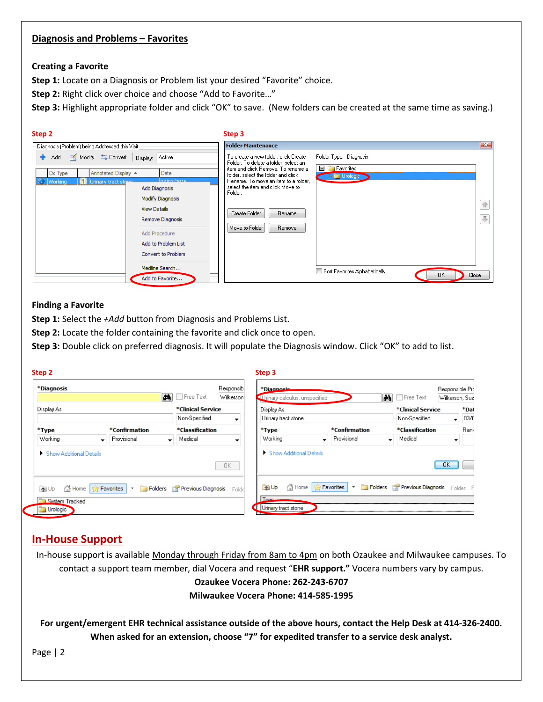### **Diagnosis and Problems – Favorites**

### **Creating a Favorite**

**Step 1:** Locate on a Diagnosis or Problem list your desired "Favorite" choice.

**Step 2:** Right click over choice and choose "Add to Favorite…"

**Step 3:** Highlight appropriate folder and click "OK" to save. (New folders can be created at the same time as saving.)

| Step 2                                                                                   |                                                                 | Step 3                                                                                                                                                             |            |  |  |
|------------------------------------------------------------------------------------------|-----------------------------------------------------------------|--------------------------------------------------------------------------------------------------------------------------------------------------------------------|------------|--|--|
| Diagnosis (Problem) being Addressed this Visit                                           |                                                                 | <b>Folder Maintenance</b>                                                                                                                                          |            |  |  |
| Modify Convert Display: Active<br>÷.<br>Add                                              |                                                                 | Folder Type: Diagnosis<br>To create a new folder, click Create<br>Folder. To delete a folder, select an                                                            |            |  |  |
| Date<br>Annotated Display A<br>Dx Type<br>az Ing Innie<br>Working<br>Urinary tract stene |                                                                 | <b>E</b> Favorites<br>item and click Remove. To rename a<br>folder, select the folder and click<br><b>In Fig. Urologic</b><br>Rename. To move an item to a folder. |            |  |  |
|                                                                                          | Add Diagnosis<br><b>Modify Diagnosis</b><br><b>View Details</b> | select the item and click Move to<br>Folder.<br>Create Folder<br>Rename                                                                                            | 合          |  |  |
|                                                                                          | Remove Diagnosis<br>Add Procedure                               | Move to Folder<br>Remove                                                                                                                                           | $\Uparrow$ |  |  |
|                                                                                          | Add to Problem List<br>Convert to Problem<br>Medline Search     | Sort Favorites Alphabetically                                                                                                                                      |            |  |  |
|                                                                                          | Add to Favorite                                                 | Close<br><b>OK</b>                                                                                                                                                 |            |  |  |

### **Finding a Favorite**

**Step 1:** Select the *+Add* button from Diagnosis and Problems List.

**Step 2:** Locate the folder containing the favorite and click once to open.

**Step 3:** Double click on preferred diagnosis. It will populate the Diagnosis window. Click "OK" to add to list.

| Step 2                                   |                                        |                                         |                                   | Step 3                          |                         |               |                                         |                                                    |                |      |
|------------------------------------------|----------------------------------------|-----------------------------------------|-----------------------------------|---------------------------------|-------------------------|---------------|-----------------------------------------|----------------------------------------------------|----------------|------|
| *Diagnosis<br><b>Responsibl</b><br>凾     |                                        |                                         |                                   | *Diagnosis                      |                         |               |                                         | Responsible Pro                                    |                |      |
| Display As                               |                                        | Free Text<br>*Clinical Service          | Wilkerson                         | Ul rinary calculus, unspecified |                         |               | <b>da</b>                               | Free Text                                          | Wilkerson, Sud | *Dat |
|                                          |                                        | Non-Specified                           | Display As<br>Urinary tract stone |                                 |                         |               | *Clinical Service<br>Non-Specified<br>۰ |                                                    | 03/0           |      |
| *Type                                    | <i>*</i> Confirmation                  | *Classification                         |                                   | *Type                           |                         | *Confirmation |                                         | *Classification                                    |                | Ranl |
| Working<br>$\overline{\phantom{a}}$      | Provisional                            | Medical                                 |                                   | Working                         | ٠                       | Provisional   |                                         | Medical                                            |                |      |
| Show Additional Details                  |                                        |                                         | 0K                                | Show Additional Details         |                         |               |                                         |                                                    | OK             |      |
| <b>The Home</b><br><b>T</b> Up           | Favorites<br>$\boldsymbol{\mathrm{v}}$ | Folders <b>Previous Diagnosis</b> Folde |                                   | <b>T</b> Up                     | Home <b>R</b> Favorites | ber i         |                                         | <b>Folders Previous Diagnosis</b> Folder: <b>P</b> |                |      |
| <b>System Tracked</b><br><b>Urologic</b> |                                        |                                         |                                   | Tem-<br>Urinary tract stone     |                         |               |                                         |                                                    |                |      |

## **In-House Support**

In-house support is available Monday through Friday from 8am to 4pm on both Ozaukee and Milwaukee campuses. To contact a support team member, dial Vocera and request "**EHR support."** Vocera numbers vary by campus. **Ozaukee Vocera Phone: 262-243-6707 Milwaukee Vocera Phone: 414-585-1995**

**For urgent/emergent EHR technical assistance outside of the above hours, contact the Help Desk at 414-326-2400. When asked for an extension, choose "7" for expedited transfer to a service desk analyst.**

Page | 2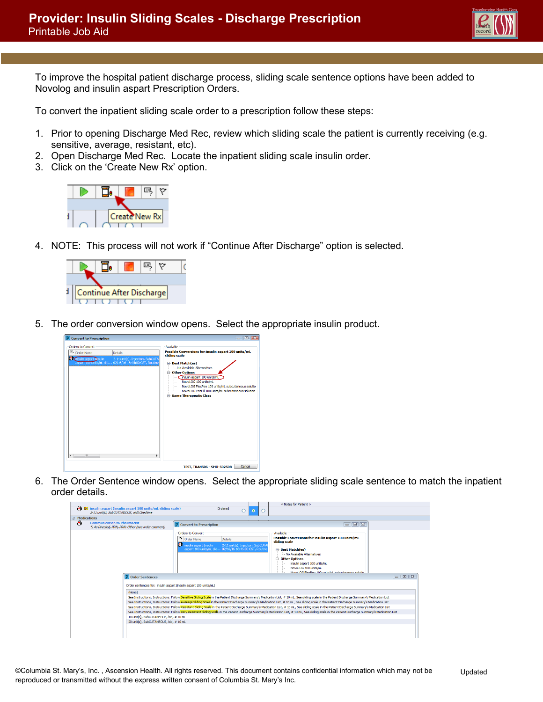To improve the hospital patient discharge process, sliding scale sentence options have been added to Novolog and insulin aspart Prescription Orders.

To convert the inpatient sliding scale order to a prescription follow these steps:

- 1. Prior to opening Discharge Med Rec, review which sliding scale the patient is currently receiving (e.g. sensitive, average, resistant, etc).
- 2. Open Discharge Med Rec. Locate the inpatient sliding scale insulin order.
- 3. Click on the 'Create New Rx' option.



4. NOTE: This process will not work if "Continue After Discharge" option is selected.



5. The order conversion window opens. Select the appropriate insulin product.



6. The Order Sentence window opens. Select the appropriate sliding scale sentence to match the inpatient order details.

|               |                                                                                                        |                                                                                                                                                                                                                        |                                  | < Notes for Patient >                                                                                                                                                                                                                                                                                                                                                                                                                                                                                                                                                                                                                                                                                                                                                                                          |
|---------------|--------------------------------------------------------------------------------------------------------|------------------------------------------------------------------------------------------------------------------------------------------------------------------------------------------------------------------------|----------------------------------|----------------------------------------------------------------------------------------------------------------------------------------------------------------------------------------------------------------------------------------------------------------------------------------------------------------------------------------------------------------------------------------------------------------------------------------------------------------------------------------------------------------------------------------------------------------------------------------------------------------------------------------------------------------------------------------------------------------------------------------------------------------------------------------------------------------|
| æ.            | insulin aspart (insulin aspart 100 units/mL sliding scale)<br>2-11 unit(s), SubCUTANEOUS, aidACbedtime | Ordered                                                                                                                                                                                                                | ۰<br>∩                           |                                                                                                                                                                                                                                                                                                                                                                                                                                                                                                                                                                                                                                                                                                                                                                                                                |
| 4 Medications |                                                                                                        |                                                                                                                                                                                                                        |                                  |                                                                                                                                                                                                                                                                                                                                                                                                                                                                                                                                                                                                                                                                                                                                                                                                                |
| Æ             | <b>Communication to Pharmacist</b><br>*, As Directed, PRN, PRN: Other (see order comment)              | <b>P</b> Convert to Prescription                                                                                                                                                                                       |                                  | $\Box$ 3                                                                                                                                                                                                                                                                                                                                                                                                                                                                                                                                                                                                                                                                                                                                                                                                       |
|               | <b>P</b> Order Sentences<br>(None)                                                                     | Orders to Convert<br>吗<br>Details<br><b>Order Name</b><br>再<br>insulin aspart (insulin<br>aspart 100 units/mL slid 02/16/16 16:45:00 CST. Routine<br>Order sentences for: insulin aspart (insulin aspart 100 units/mL) | 2-11 unit(s), Injection, SubCUTA | Available<br>Possible Conversions for: insulin aspart 100 units/mL<br>sliding scale<br>□ Best Match(es)<br>Mo Available Alternatives<br><b>E</b> -Other Options<br>insulin aspart 100 units/mL<br>NovoLOG 100 units/mL<br>Noval OC FlexPen 100 units (m) subcutaneous solution<br>$-018$                                                                                                                                                                                                                                                                                                                                                                                                                                                                                                                       |
|               | 10 unit(s), SubCUTANEOUS, bid, # 10 mL<br>20 unit(s), SubCUTANEOUS, bid, # 10 mL                       |                                                                                                                                                                                                                        |                                  | See Instructions, Instructions: Follow Sensitive Siding Scale in the Patient Discharge Summary's Medication List. # 10 mL, See sliding scale in the Patient Discharge Summary's Medication List<br>See Instructions, Instructions: Follow Average Sliding Scale in the Patient Discharge Summary's Medication List, # 10 mL, See sliding scale in the Patient Discharge Summary's Medication List<br>See Instructions, Instructions: Follow Resistant Sliding Scale in the Patient Discharge Summary's Medication List. # 10 mL, See sliding scale in the Patient Discharge Summary's Medication List<br>See Instructions, Instructions: Follow Very Resistant Sliding Scale in the Patient Discharge Summary's Medication List, # 10 mL, See sliding scale in the Patient Discharge Summary's Medication List |